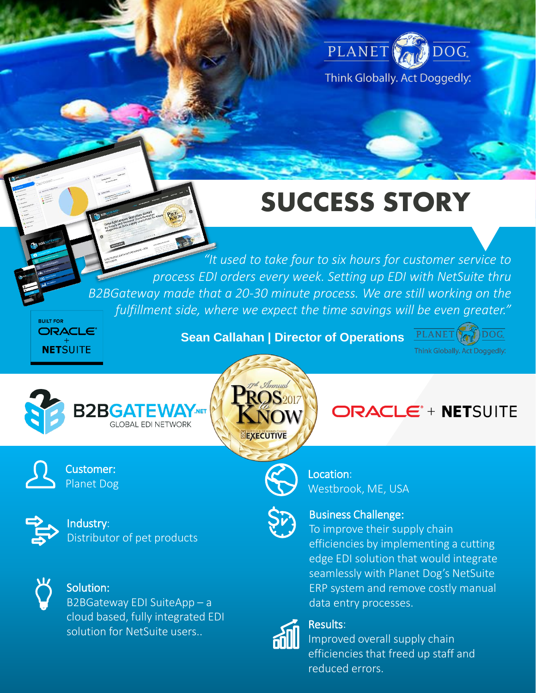

# **SUCCESS STORY**

. *fulfillment side, where we expect the time savings will be even greater." "It used to take four to six hours for customer service to process EDI orders every week. Setting up EDI with NetSuite thru B2BGateway made that a 20-30 minute process. We are still working on the* 

**BUILT FOR ORACLE**® **NETSUITE** 

**Sean Callahan | Director of Operations** 

PLANET **L**  $\mathcal{L}$  DOG. Think Globally. Act Doggedly:



Customer: Planet Dog

Industry: Distributor of pet products



#### Solution:

B2BGateway EDI SuiteApp – a cloud based, fully integrated EDI solution for NetSuite users..  $\overline{\mathsf{R}}$  Results:



**ORACLE<sup>\*</sup> + NETSUITE** 



Location: Westbrook, ME, USA



#### Business Challenge:

To improve their supply chain efficiencies by implementing a cutting edge EDI solution that would integrate seamlessly with Planet Dog's NetSuite ERP system and remove costly manual data entry processes.



Improved overall supply chain efficiencies that freed up staff and reduced errors.